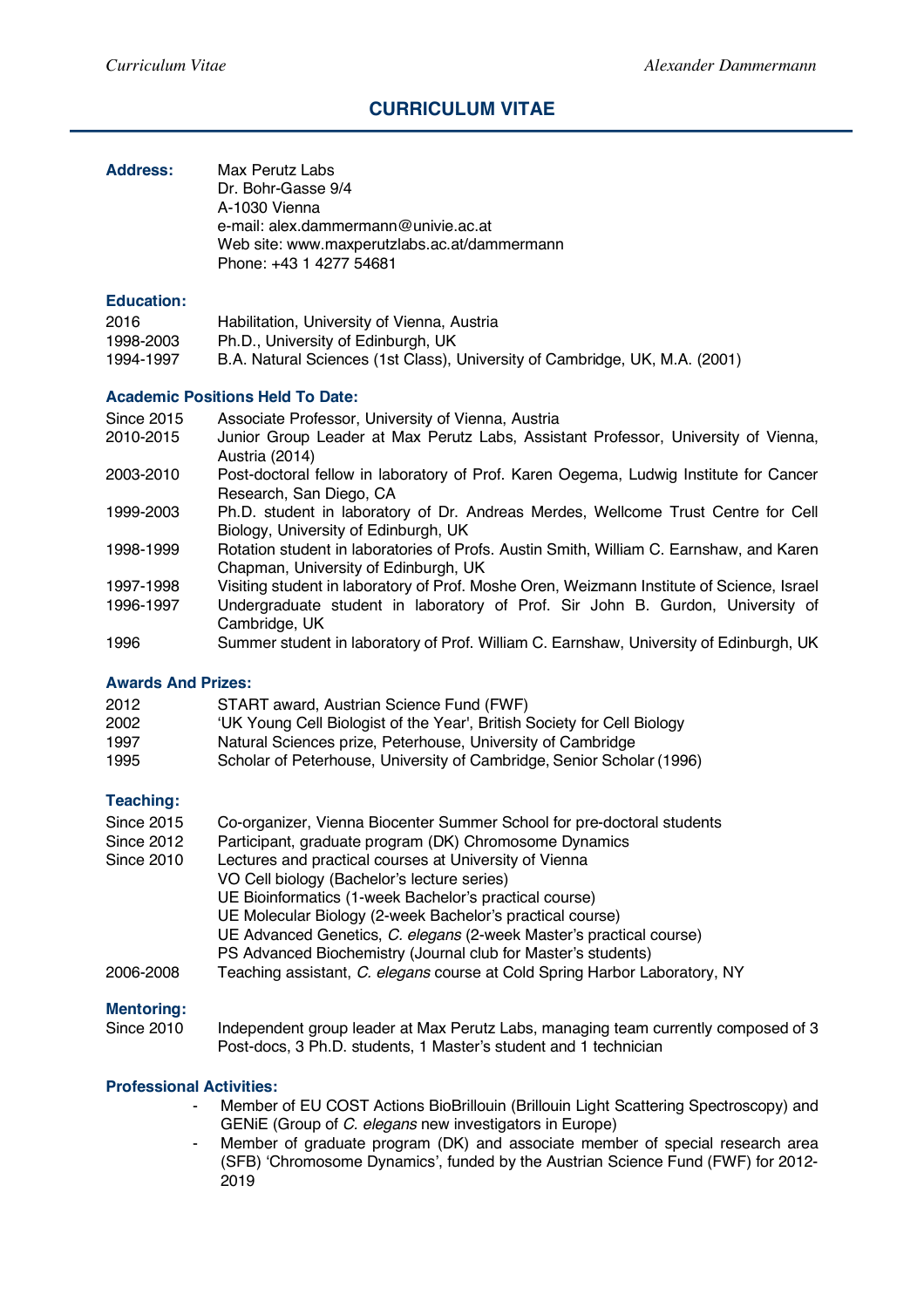# **CURRICULUM VITAE**

| <b>Address:</b> | Max Perutz Labs                              |
|-----------------|----------------------------------------------|
|                 | Dr. Bohr-Gasse 9/4                           |
|                 | A-1030 Vienna                                |
|                 | e-mail: alex.dammermann@univie.ac.at         |
|                 | Web site: www.maxperutzlabs.ac.at/dammermann |
|                 | Phone: +43 1 4277 54681                      |

#### **Education:**

| 2016      | Habilitation, University of Vienna, Austria                                 |
|-----------|-----------------------------------------------------------------------------|
| 1998-2003 | Ph.D., University of Edinburgh, UK                                          |
| 1994-1997 | B.A. Natural Sciences (1st Class), University of Cambridge, UK, M.A. (2001) |

#### **Academic Positions Held To Date:**

| Since 2015 | Associate Professor, University of Vienna, Austria                                                                              |
|------------|---------------------------------------------------------------------------------------------------------------------------------|
| 2010-2015  | Junior Group Leader at Max Perutz Labs, Assistant Professor, University of Vienna,<br>Austria (2014)                            |
| 2003-2010  | Post-doctoral fellow in laboratory of Prof. Karen Oegema, Ludwig Institute for Cancer<br>Research, San Diego, CA                |
| 1999-2003  | Ph.D. student in laboratory of Dr. Andreas Merdes, Wellcome Trust Centre for Cell<br>Biology, University of Edinburgh, UK       |
| 1998-1999  | Rotation student in laboratories of Profs. Austin Smith, William C. Earnshaw, and Karen<br>Chapman, University of Edinburgh, UK |
| 1997-1998  | Visiting student in laboratory of Prof. Moshe Oren, Weizmann Institute of Science, Israel                                       |
| 1996-1997  | Undergraduate student in laboratory of Prof. Sir John B. Gurdon, University of<br>Cambridge, UK                                 |
| 1996       | Summer student in laboratory of Prof. William C. Earnshaw, University of Edinburgh, UK                                          |

#### **Awards And Prizes:**

| 2012 | START award, Austrian Science Fund (FWF)                                |
|------|-------------------------------------------------------------------------|
| 2002 | 'UK Young Cell Biologist of the Year', British Society for Cell Biology |
| 1997 | Natural Sciences prize, Peterhouse, University of Cambridge             |
| 1995 | Scholar of Peterhouse, University of Cambridge, Senior Scholar (1996)   |
|      |                                                                         |

# **Teaching:**

| Since 2015 | Co-organizer, Vienna Biocenter Summer School for pre-doctoral students     |
|------------|----------------------------------------------------------------------------|
| Since 2012 | Participant, graduate program (DK) Chromosome Dynamics                     |
| Since 2010 | Lectures and practical courses at University of Vienna                     |
|            | VO Cell biology (Bachelor's lecture series)                                |
|            | UE Bioinformatics (1-week Bachelor's practical course)                     |
|            | UE Molecular Biology (2-week Bachelor's practical course)                  |
|            | UE Advanced Genetics, C. elegans (2-week Master's practical course)        |
|            | PS Advanced Biochemistry (Journal club for Master's students)              |
| 2006-2008  | Teaching assistant, C. elegans course at Cold Spring Harbor Laboratory, NY |
|            |                                                                            |

# **Mentoring:**

| Since 2010 | Independent group leader at Max Perutz Labs, managing team currently composed of 3 |
|------------|------------------------------------------------------------------------------------|
|            | Post-docs, 3 Ph.D. students, 1 Master's student and 1 technician                   |

#### **Professional Activities:**

- Member of EU COST Actions BioBrillouin (Brillouin Light Scattering Spectroscopy) and GENiE (Group of *C. elegans* new investigators in Europe)
- Member of graduate program (DK) and associate member of special research area (SFB) 'Chromosome Dynamics', funded by the Austrian Science Fund (FWF) for 2012- 2019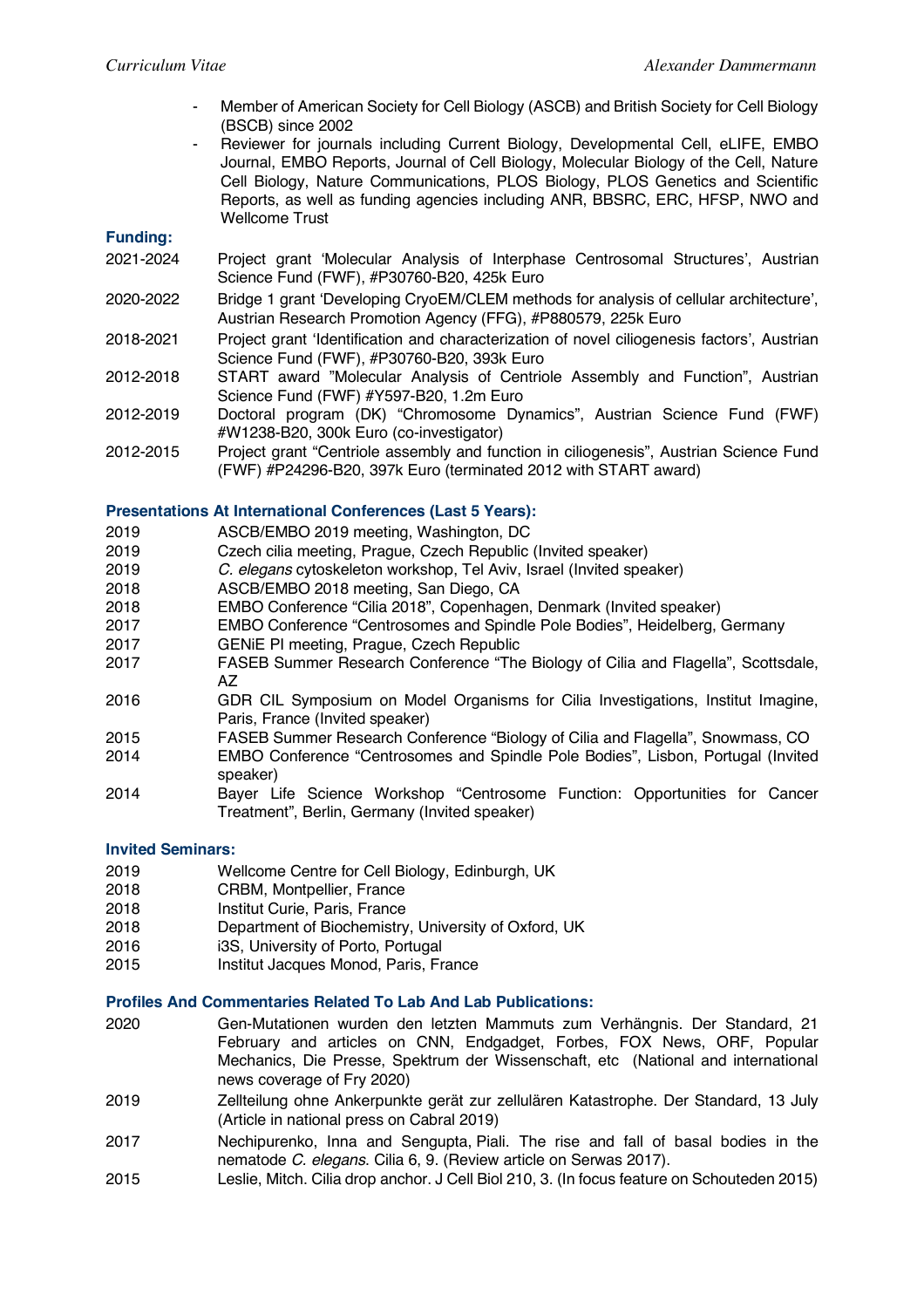- Member of American Society for Cell Biology (ASCB) and British Society for Cell Biology (BSCB) since 2002
- Reviewer for journals including Current Biology, Developmental Cell, eLIFE, EMBO Journal, EMBO Reports, Journal of Cell Biology, Molecular Biology of the Cell, Nature Cell Biology, Nature Communications, PLOS Biology, PLOS Genetics and Scientific Reports, as well as funding agencies including ANR, BBSRC, ERC, HFSP, NWO and Wellcome Trust

## **Funding:**

- 2021-2024 Project grant 'Molecular Analysis of Interphase Centrosomal Structures', Austrian Science Fund (FWF), #P30760-B20, 425k Euro
- 2020-2022 Bridge 1 grant 'Developing CryoEM/CLEM methods for analysis of cellular architecture', Austrian Research Promotion Agency (FFG), #P880579, 225k Euro
- 2018-2021 Project grant 'Identification and characterization of novel ciliogenesis factors', Austrian Science Fund (FWF), #P30760-B20, 393k Euro
- 2012-2018 START award "Molecular Analysis of Centriole Assembly and Function", Austrian Science Fund (FWF) #Y597-B20, 1.2m Euro
- 2012-2019 Doctoral program (DK) "Chromosome Dynamics", Austrian Science Fund (FWF) #W1238-B20, 300k Euro (co-investigator)
- 2012-2015 Project grant "Centriole assembly and function in ciliogenesis", Austrian Science Fund (FWF) #P24296-B20, 397k Euro (terminated 2012 with START award)

## **Presentations At International Conferences (Last 5 Years):**

- 2019 ASCB/EMBO 2019 meeting, Washington, DC
- 2019 Czech cilia meeting, Prague, Czech Republic (Invited speaker)
- 2019 *C. elegans* cytoskeleton workshop, Tel Aviv, Israel (Invited speaker)
- 2018 ASCB/EMBO 2018 meeting, San Diego, CA
- 2018 EMBO Conference "Cilia 2018", Copenhagen, Denmark (Invited speaker)
- 2017 EMBO Conference "Centrosomes and Spindle Pole Bodies", Heidelberg, Germany
- 2017 GENiE PI meeting, Prague, Czech Republic
- 2017 FASEB Summer Research Conference "The Biology of Cilia and Flagella", Scottsdale, AZ
- 2016 GDR CIL Symposium on Model Organisms for Cilia Investigations, Institut Imagine, Paris, France (Invited speaker)
- 2015 FASEB Summer Research Conference "Biology of Cilia and Flagella", Snowmass, CO
- 2014 EMBO Conference "Centrosomes and Spindle Pole Bodies", Lisbon, Portugal (Invited speaker)
- 2014 Bayer Life Science Workshop "Centrosome Function: Opportunities for Cancer Treatment", Berlin, Germany (Invited speaker)

#### **Invited Seminars:**

- 2019 Wellcome Centre for Cell Biology, Edinburgh, UK
- 2018 CRBM, Montpellier, France
- 2018 Institut Curie, Paris, France
- 2018 Department of Biochemistry, University of Oxford, UK
- 2016 i3S, University of Porto, Portugal
- 2015 Institut Jacques Monod, Paris, France

#### **Profiles And Commentaries Related To Lab And Lab Publications:**

- 2020 Gen-Mutationen wurden den letzten Mammuts zum Verhängnis. Der Standard, 21 February and articles on CNN, Endgadget, Forbes, FOX News, ORF, Popular Mechanics, Die Presse, Spektrum der Wissenschaft, etc (National and international news coverage of Fry 2020)
- 2019 Zellteilung ohne Ankerpunkte gerät zur zellulären Katastrophe. Der Standard, 13 July (Article in national press on Cabral 2019)
- 2017 Nechipurenko, Inna and Sengupta, Piali. The rise and fall of basal bodies in the nematode *C. elegans*. Cilia 6, 9. (Review article on Serwas 2017).
- 2015 Leslie, Mitch. Cilia drop anchor. J Cell Biol 210, 3. (In focus feature on Schouteden 2015)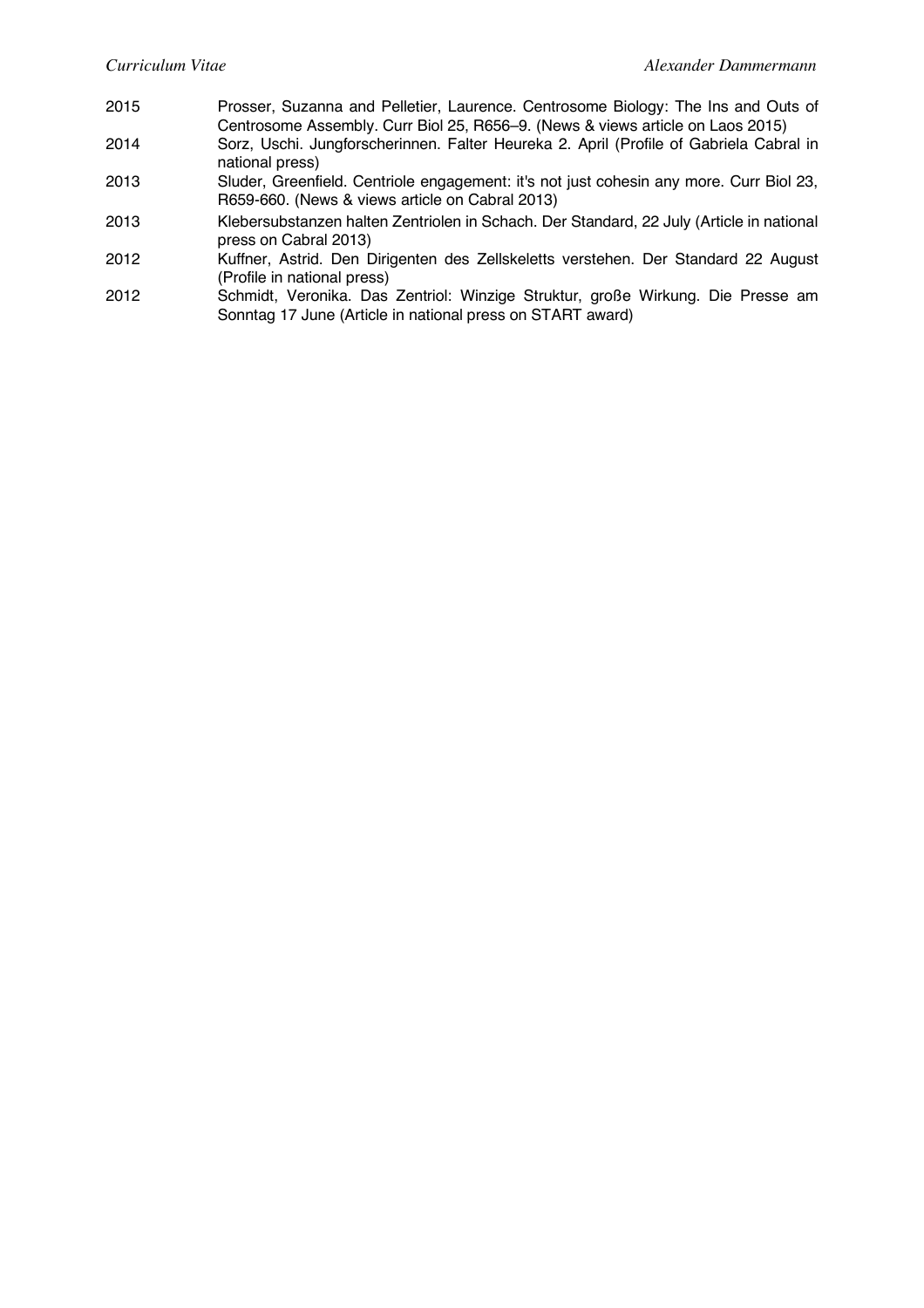- 2015 Prosser, Suzanna and Pelletier, Laurence. Centrosome Biology: The Ins and Outs of Centrosome Assembly. Curr Biol 25, R656–9. (News & views article on Laos 2015)
- 2014 Sorz, Uschi. Jungforscherinnen. Falter Heureka 2. April (Profile of Gabriela Cabral in national press)
- 2013 Sluder, Greenfield. Centriole engagement: it's not just cohesin any more. Curr Biol 23, R659-660. (News & views article on Cabral 2013)
- 2013 Klebersubstanzen halten Zentriolen in Schach. Der Standard, 22 July (Article in national press on Cabral 2013)
- 2012 Kuffner, Astrid. Den Dirigenten des Zellskeletts verstehen. Der Standard 22 August (Profile in national press)
- 2012 Schmidt, Veronika. Das Zentriol: Winzige Struktur, große Wirkung. Die Presse am Sonntag 17 June (Article in national press on START award)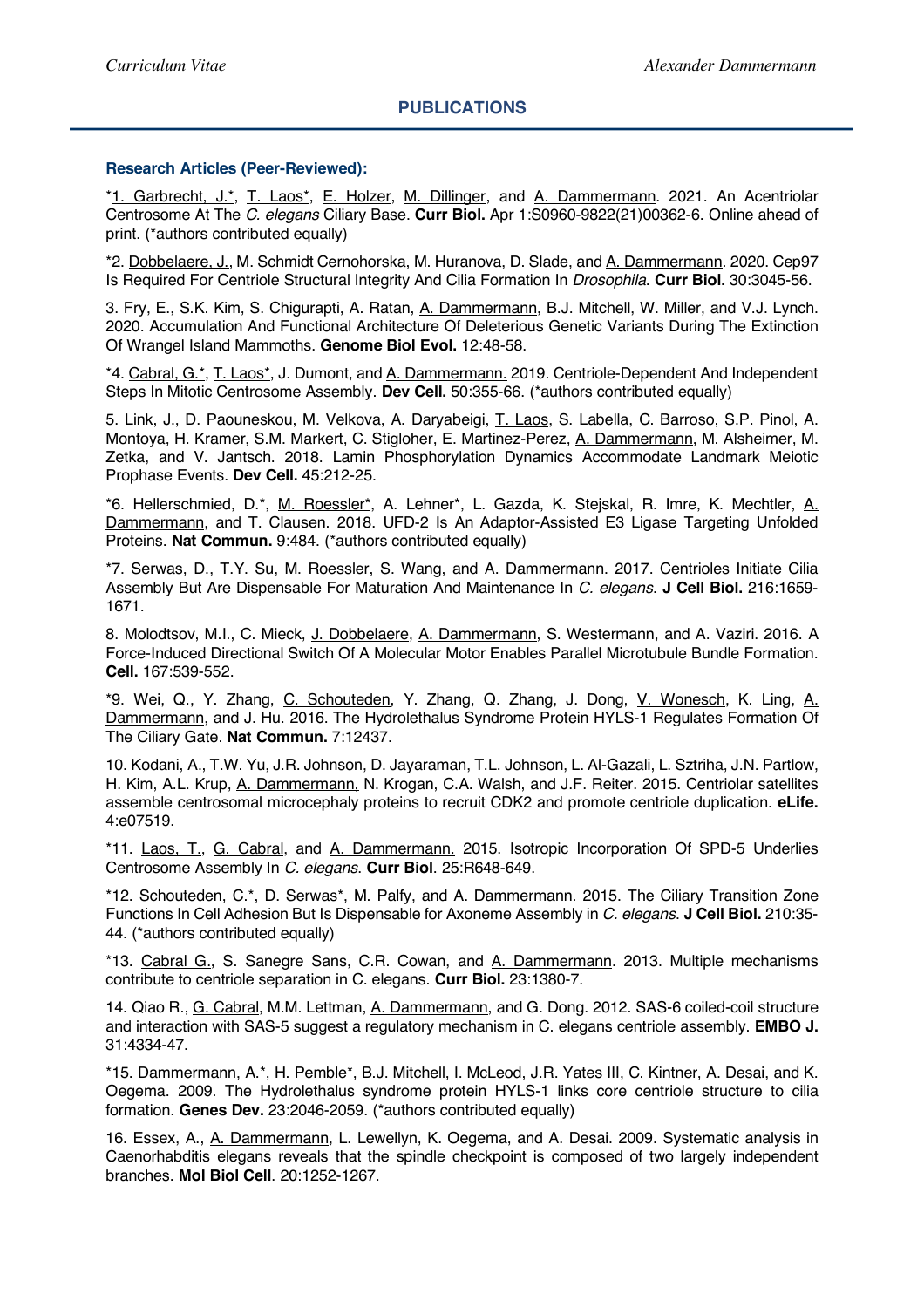## **Research Articles (Peer-Reviewed):**

\*1. Garbrecht, J.\*, T. Laos\*, E. Holzer, M. Dillinger, and A. Dammermann. 2021. An Acentriolar Centrosome At The *C. elegans* Ciliary Base. **Curr Biol.** Apr 1:S0960-9822(21)00362-6. Online ahead of print. (\*authors contributed equally)

\*2. Dobbelaere, J., M. Schmidt Cernohorska, M. Huranova, D. Slade, and A. Dammermann. 2020. Cep97 Is Required For Centriole Structural Integrity And Cilia Formation In *Drosophila*. **Curr Biol.** 30:3045-56.

3. Fry, E., S.K. Kim, S. Chigurapti, A. Ratan, A. Dammermann, B.J. Mitchell, W. Miller, and V.J. Lynch. 2020. Accumulation And Functional Architecture Of Deleterious Genetic Variants During The Extinction Of Wrangel Island Mammoths. **Genome Biol Evol.** 12:48-58.

\*4. Cabral, G.\*, T. Laos\*, J. Dumont, and A. Dammermann. 2019. Centriole-Dependent And Independent Steps In Mitotic Centrosome Assembly. **Dev Cell.** 50:355-66. (\*authors contributed equally)

5. Link, J., D. Paouneskou, M. Velkova, A. Daryabeigi, T. Laos, S. Labella, C. Barroso, S.P. Pinol, A. Montoya, H. Kramer, S.M. Markert, C. Stigloher, E. Martinez-Perez, A. Dammermann, M. Alsheimer, M. Zetka, and V. Jantsch. 2018. Lamin Phosphorylation Dynamics Accommodate Landmark Meiotic Prophase Events. **Dev Cell.** 45:212-25.

\*6. Hellerschmied, D.\*, M. Roessler\*, A. Lehner\*, L. Gazda, K. Stejskal, R. Imre, K. Mechtler, A. Dammermann, and T. Clausen. 2018. UFD-2 Is An Adaptor-Assisted E3 Ligase Targeting Unfolded Proteins. **Nat Commun.** 9:484. (\*authors contributed equally)

\*7. Serwas, D., T.Y. Su, M. Roessler, S. Wang, and A. Dammermann. 2017. Centrioles Initiate Cilia Assembly But Are Dispensable For Maturation And Maintenance In *C. elegans*. **J Cell Biol.** 216:1659- 1671.

8. Molodtsov, M.I., C. Mieck, J. Dobbelaere, A. Dammermann, S. Westermann, and A. Vaziri. 2016. A Force-Induced Directional Switch Of A Molecular Motor Enables Parallel Microtubule Bundle Formation. **Cell.** 167:539-552.

\*9. Wei, Q., Y. Zhang, C. Schouteden, Y. Zhang, Q. Zhang, J. Dong, V. Wonesch, K. Ling, A. Dammermann, and J. Hu. 2016. The Hydrolethalus Syndrome Protein HYLS-1 Regulates Formation Of The Ciliary Gate. **Nat Commun.** 7:12437.

10. Kodani, A., T.W. Yu, J.R. Johnson, D. Jayaraman, T.L. Johnson, L. Al-Gazali, L. Sztriha, J.N. Partlow, H. Kim, A.L. Krup, A. Dammermann, N. Krogan, C.A. Walsh, and J.F. Reiter. 2015. Centriolar satellites assemble centrosomal microcephaly proteins to recruit CDK2 and promote centriole duplication. **eLife.** 4:e07519.

\*11. Laos, T., G. Cabral, and A. Dammermann. 2015. Isotropic Incorporation Of SPD-5 Underlies Centrosome Assembly In *C. elegans*. **Curr Biol**. 25:R648-649.

\*12. Schouteden, C.\*, D. Serwas\*, M. Palfy, and A. Dammermann. 2015. The Ciliary Transition Zone Functions In Cell Adhesion But Is Dispensable for Axoneme Assembly in *C. elegans*. **J Cell Biol.** 210:35- 44. (\*authors contributed equally)

\*13. Cabral G., S. Sanegre Sans, C.R. Cowan, and A. Dammermann. 2013. Multiple mechanisms contribute to centriole separation in C. elegans. **Curr Biol.** 23:1380-7.

14. Qiao R., G. Cabral, M.M. Lettman, A. Dammermann, and G. Dong. 2012. SAS-6 coiled-coil structure and interaction with SAS-5 suggest a regulatory mechanism in C. elegans centriole assembly. **EMBO J.** 31:4334-47.

\*15. Dammermann, A.\*, H. Pemble\*, B.J. Mitchell, I. McLeod, J.R. Yates III, C. Kintner, A. Desai, and K. Oegema. 2009. The Hydrolethalus syndrome protein HYLS-1 links core centriole structure to cilia formation. **Genes Dev.** 23:2046-2059. (\*authors contributed equally)

16. Essex, A., A. Dammermann, L. Lewellyn, K. Oegema, and A. Desai. 2009. Systematic analysis in Caenorhabditis elegans reveals that the spindle checkpoint is composed of two largely independent branches. **Mol Biol Cell**. 20:1252-1267.